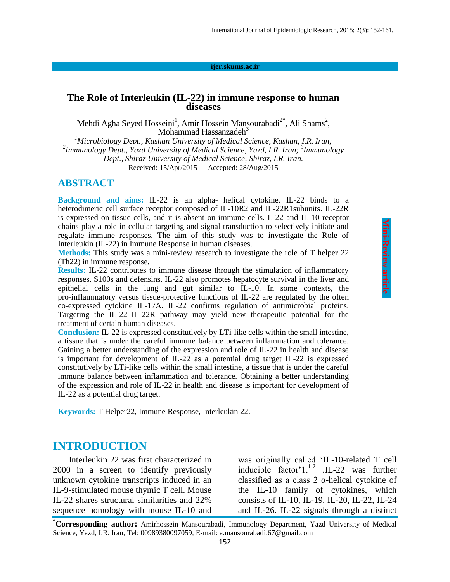#### **ijer.skums.ac.ir**

### **The Role of Interleukin (IL-22) in immune response to human diseases**

Mehdi Agha Seyed Hosseini<sup>1</sup>, Amir Hossein Mansourabadi<sup>2\*</sup>, Ali Shams<sup>2</sup>, Mohammad Hassanzadeh<sup>3</sup>

*<sup>1</sup>Microbiology Dept., Kashan University of Medical Science, Kashan, I.R. Iran; 2 Immunology Dept., Yazd University of Medical Science, Yazd, I.R. Iran; <sup>3</sup> Immunology Dept., Shiraz University of Medical Science, Shiraz, I.R. Iran.* Received: 15/Apr/2015 Accepted: 28/Aug/2015

### **ABSTRACT**

**Background and aims:** IL-22 is an alpha- helical cytokine. IL-22 binds to a heterodimeric cell surface receptor composed of IL-10R2 and IL-22R1subunits. IL-22R is expressed on tissue cells, and it is absent on immune cells. L-22 and IL-10 receptor chains play a role in cellular targeting and signal transduction to selectively initiate and regulate immune responses. The aim of this study was to investigate the Role of Interleukin (IL-22) in Immune Response in human diseases.

**Methods:** This study was a mini-review research to investigate the role of T helper 22 (Th22) in immune response.

**Results:** IL-22 contributes to immune disease through the stimulation of inflammatory responses, S100s and defensins. IL-22 also promotes hepatocyte survival in the liver and epithelial cells in the lung and gut similar to IL-10. In some contexts, the pro-inflammatory versus tissue-protective functions of IL-22 are regulated by the often co-expressed cytokine IL-17A. IL-22 confirms regulation of antimicrobial proteins. Targeting the IL-22–IL-22R pathway may yield new therapeutic potential for the treatment of certain human diseases.

**Conclusion:** IL-22 is expressed constitutively by LTi-like cells within the small intestine, a tissue that is under the careful immune balance between inflammation and tolerance. Gaining a better understanding of the expression and role of IL-22 in health and disease is important for development of IL-22 as a potential drug target IL-22 is expressed constitutively by LTi-like cells within the small intestine, a tissue that is under the careful immune balance between inflammation and tolerance. Obtaining a better understanding of the expression and role of IL-22 in health and disease is important for development of IL-22 as a potential drug target.

**Keywords:** T Helper22, Immune Response, Interleukin 22.

## **INTRODUCTION**

Interleukin 22 was first characterized in 2000 in a screen to identify previously unknown cytokine transcripts induced in an IL-9-stimulated mouse thymic T cell. Mouse IL-22 shares structural similarities and 22% sequence homology with mouse IL-10 and

was originally called 'IL-10-related T cell inducible factor'1. $^{1,2}$  .IL-22 was further classified as a class  $2 \alpha$ -helical cytokine of the IL-10 family of cytokines, which consists of IL-10, IL-19, IL-20, IL-22, IL-24 and IL-26. IL-22 signals through a distinct

**\*Corresponding author:** Amirhossein Mansourabadi, Immunology Department, Yazd University of Medical Science, Yazd, I.R. Iran, Tel: 00989380097059, E-mail: a.mansourabadi.67@gmail.com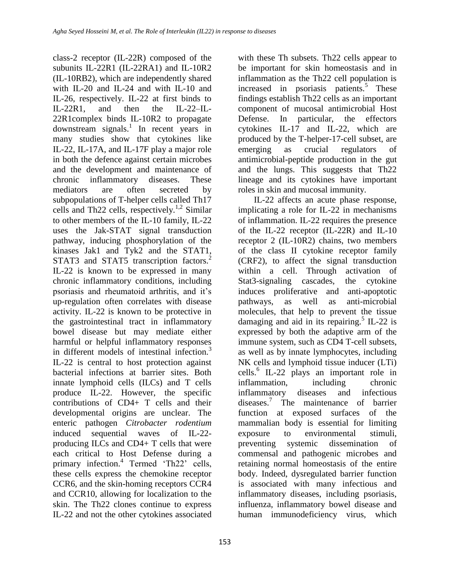class-2 receptor (IL-22R) composed of the subunits IL-22R1 (IL-22RA1) and IL-10R2 (IL-10RB2), which are independently shared with IL-20 and IL-24 and with IL-10 and IL-26, respectively. IL-22 at first binds to IL-22R1, and then the IL-22–IL-22R1complex binds IL-10R2 to propagate  $downstream$  signals.<sup>1</sup> In recent years in many studies show that cytokines like IL-22, IL-17A, and IL-17F play a major role in both the defence against certain microbes and the development and maintenance of chronic inflammatory diseases. These mediators are often secreted by subpopulations of T-helper cells called Th17 cells and Th22 cells, respectively.<sup>1,2</sup> Similar to other members of the IL-10 family, IL-22 uses the Jak-STAT signal transduction pathway, inducing phosphorylation of the kinases Jak1 and Tyk2 and the STAT1, STAT3 and STAT5 transcription factors.<sup>2</sup> IL-22 is known to be expressed in many chronic inflammatory conditions, including psoriasis and rheumatoid arthritis, and it's up-regulation often correlates with disease activity. IL-22 is known to be protective in the gastrointestinal tract in inflammatory bowel disease but may mediate either harmful or helpful inflammatory responses in different models of intestinal infection.<sup>3</sup> IL-22 is central to host protection against bacterial infections at barrier sites. Both innate lymphoid cells (ILCs) and T cells produce IL-22. However, the specific contributions of CD4+ T cells and their developmental origins are unclear. The enteric pathogen *Citrobacter rodentium* induced sequential waves of IL-22 producing ILCs and CD4+ T cells that were each critical to Host Defense during a primary infection.<sup>4</sup> Termed 'Th22' cells, these cells express the chemokine receptor CCR6, and the skin-homing receptors CCR4 and CCR10, allowing for localization to the skin. The Th22 clones continue to express IL-22 and not the other cytokines associated

with these Th subsets. Th22 cells appear to be important for skin homeostasis and in inflammation as the Th22 cell population is increased in psoriasis patients.<sup>5</sup> These findings establish Th22 cells as an important component of mucosal antimicrobial Host Defense. In particular, the effectors cytokines IL-17 and IL-22, which are produced by the T-helper-17-cell subset, are emerging as crucial regulators of antimicrobial-peptide production in the gut and the lungs. This suggests that Th22 lineage and its cytokines have important roles in skin and mucosal immunity.

IL-22 affects an acute phase response, implicating a role for IL-22 in mechanisms of inflammation. IL-22 requires the presence of the IL-22 receptor (IL-22R) and IL-10 receptor 2 (IL-10R2) chains, two members of the class II cytokine receptor family (CRF2), to affect the signal transduction within a cell. Through activation of Stat3-signaling cascades, the cytokine induces proliferative and anti-apoptotic pathways, as well as anti-microbial molecules, that help to prevent the tissue damaging and aid in its repairing.<sup>5</sup> IL-22 is expressed by both the adaptive arm of the immune system, such as CD4 T-cell subsets, as well as by innate lymphocytes, including NK cells and lymphoid tissue inducer (LTi) cells.<sup>6</sup> IL-22 plays an important role in inflammation, including chronic inflammatory diseases and infectious diseases.<sup>7</sup> The maintenance of barrier function at exposed surfaces of the mammalian body is essential for limiting exposure to environmental stimuli, preventing systemic dissemination of commensal and pathogenic microbes and retaining normal homeostasis of the entire body. Indeed, dysregulated barrier function is associated with many infectious and inflammatory diseases, including psoriasis, influenza, inflammatory bowel disease and human immunodeficiency virus, which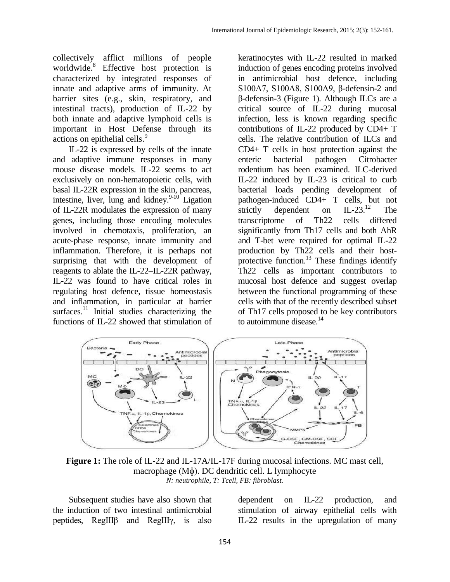collectively afflict millions of people worldwide.<sup>8</sup> Effective host protection is characterized by integrated responses of innate and adaptive arms of immunity. At barrier sites (e.g., skin, respiratory, and intestinal tracts), production of IL-22 by both innate and adaptive lymphoid cells is important in Host Defense through its actions on epithelial cells.<sup>9</sup>

IL-22 is expressed by cells of the innate and adaptive immune responses in many mouse disease models. IL-22 seems to act exclusively on non-hematopoietic cells, with basal IL-22R expression in the skin, pancreas, intestine, liver, lung and kidney.<sup>9-10</sup> Ligation of IL-22R modulates the expression of many genes, including those encoding molecules involved in chemotaxis, proliferation, an acute-phase response, innate immunity and inflammation. Therefore, it is perhaps not surprising that with the development of reagents to ablate the IL-22–IL-22R pathway, IL-22 was found to have critical roles in regulating host defence, tissue homeostasis and inflammation, in particular at barrier surfaces.<sup>11</sup> Initial studies characterizing the functions of IL-22 showed that stimulation of

keratinocytes with IL-22 resulted in marked induction of genes encoding proteins involved in antimicrobial host defence, including S100A7, S100A8, S100A9, β-defensin-2 and β-defensin-3 (Figure 1). Although ILCs are a critical source of IL-22 during mucosal infection, less is known regarding specific contributions of IL-22 produced by CD4+ T cells. The relative contribution of ILCs and CD4+ T cells in host protection against the enteric bacterial pathogen Citrobacter rodentium has been examined. ILC-derived IL-22 induced by IL-23 is critical to curb bacterial loads pending development of pathogen-induced CD4+ T cells, but not<br>strictly dependent on  $IL-23.<sup>12</sup>$  The strictly dependent on  $IL-23$ .<sup>12</sup> The transcriptome of Th22 cells differed significantly from Th17 cells and both AhR and T-bet were required for optimal IL-22 production by Th22 cells and their hostprotective function.<sup>13</sup> These findings identify Th22 cells as important contributors to mucosal host defence and suggest overlap between the functional programming of these cells with that of the recently described subset of Th17 cells proposed to be key contributors to autoimmune disease. $^{14}$ 



**Figure 1:** The role of IL-22 and IL-17A/IL-17F during mucosal infections. MC mast cell, macrophage (Mɸ). DC dendritic cell. L lymphocyte *N: neutrophile, T: Tcell, FB: fibroblast.*

Subsequent studies have also shown that the induction of two intestinal antimicrobial peptides, RegIIIβ and RegIIIγ, is also

dependent on IL-22 production, and stimulation of airway epithelial cells with IL-22 results in the upregulation of many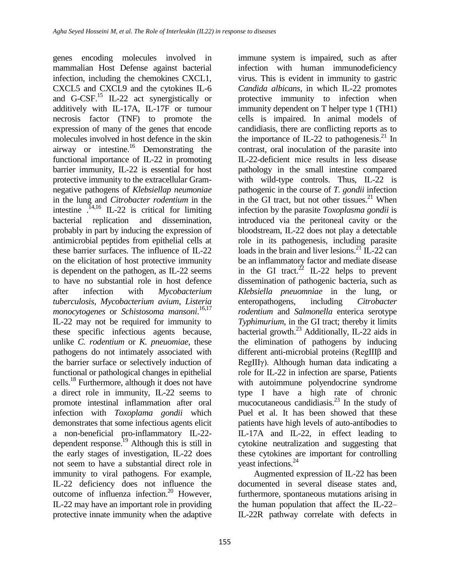genes encoding molecules involved in mammalian Host Defense against bacterial infection, including the chemokines CXCL1, CXCL5 and CXCL9 and the cytokines IL-6 and G-CSF.<sup>15</sup> IL-22 act synergistically or additively with IL-17A, IL-17F or tumour necrosis factor (TNF) to promote the expression of many of the genes that encode molecules involved in host defence in the skin airway or intestine. <sup>16</sup> Demonstrating the functional importance of IL-22 in promoting barrier immunity, IL-22 is essential for host protective immunity to the extracellular Gramnegative pathogens of *Klebsiellap neumoniae* in the lung and *Citrobacter rodentium* in the intestine  $14,16$  IL-22 is critical for limiting bacterial replication and dissemination, probably in part by inducing the expression of antimicrobial peptides from epithelial cells at these barrier surfaces. The influence of IL-22 on the elicitation of host protective immunity is dependent on the pathogen, as IL-22 seems to have no substantial role in host defence after infection with *Mycobacterium tuberculosis*, *Mycobacterium avium*, *Listeria monocytogenes* or *Schistosoma mansoni*. 16,17 IL-22 may not be required for immunity to these specific infectious agents because, unlike *C. rodentium* or *K. pneuomiae*, these pathogens do not intimately associated with the barrier surface or selectively induction of functional or pathological changes in epithelial cells.<sup>18</sup> Furthermore, although it does not have a direct role in immunity, IL-22 seems to promote intestinal inflammation after oral infection with *Toxoplama gondii* which demonstrates that some infectious agents elicit a non-beneficial pro-inflammatory IL-22 dependent response.<sup>19</sup> Although this is still in the early stages of investigation, IL-22 does not seem to have a substantial direct role in immunity to viral pathogens. For example, IL-22 deficiency does not influence the outcome of influenza infection.<sup>20</sup> However, IL-22 may have an important role in providing protective innate immunity when the adaptive

immune system is impaired, such as after infection with human immunodeficiency virus. This is evident in immunity to gastric *Candida albicans*, in which IL-22 promotes protective immunity to infection when immunity dependent on T helper type 1 (TH1) cells is impaired. In animal models of candidiasis, there are conflicting reports as to the importance of IL-22 to pathogenesis.<sup>21</sup> In contrast, oral inoculation of the parasite into IL-22-deficient mice results in less disease pathology in the small intestine compared with wild-type controls. Thus, IL-22 is pathogenic in the course of *T. gondii* infection in the GI tract, but not other tissues. $21$  When infection by the parasite *Toxoplasma gondii* is introduced via the peritoneal cavity or the bloodstream, IL-22 does not play a detectable role in its pathogenesis, including parasite loads in the brain and liver lesions.<sup>21</sup> IL-22 can be an inflammatory factor and mediate disease in the GI tract. $^{22}$  IL-22 helps to prevent dissemination of pathogenic bacteria, such as *Klebsiella pneuomniae* in the lung, or enteropathogens, including *Citrobacter rodentium* and *Salmonella* enterica serotype *Typhimurium*, in the GI tract; thereby it limits bacterial growth. $^{23}$  Additionally, IL-22 aids in the elimination of pathogens by inducing different anti-microbial proteins (RegIIIβ and RegIIIγ). Although human data indicating a role for IL-22 in infection are sparse, Patients with autoimmune polyendocrine syndrome type I have a high rate of chronic mucocutaneous candidiasis. $^{23}$  In the study of Puel et al. It has been showed that these patients have high levels of auto-antibodies to IL-17A and IL-22, in effect leading to cytokine neutralization and suggesting that these cytokines are important for controlling yeast infections.<sup>24</sup>

Augmented expression of IL-22 has been documented in several disease states and, furthermore, spontaneous mutations arising in the human population that affect the IL-22– IL-22R pathway correlate with defects in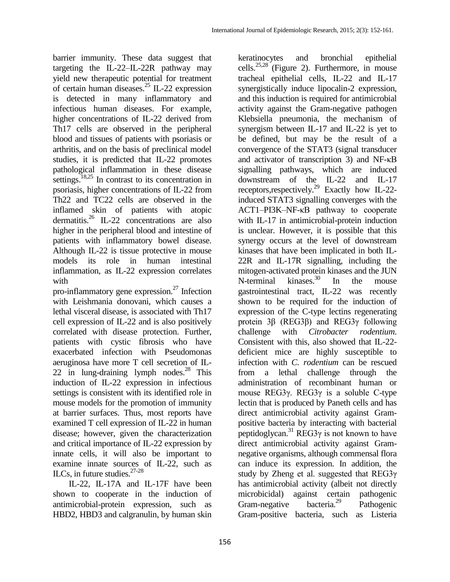barrier immunity. These data suggest that targeting the IL-22–IL-22R pathway may yield new therapeutic potential for treatment of certain human diseases.<sup>25</sup> IL-22 expression is detected in many inflammatory and infectious human diseases. For example, higher concentrations of IL-22 derived from Th17 cells are observed in the peripheral blood and tissues of patients with psoriasis or arthritis, and on the basis of preclinical model studies, it is predicted that IL-22 promotes pathological inflammation in these disease settings.<sup>18,25</sup> In contrast to its concentration in psoriasis, higher concentrations of IL-22 from Th22 and TC22 cells are observed in the inflamed skin of patients with atopic dermatitis.<sup>26</sup> IL-22 concentrations are also higher in the peripheral blood and intestine of patients with inflammatory bowel disease. Although IL-22 is tissue protective in mouse models its role in human intestinal inflammation, as IL-22 expression correlates with

pro-inflammatory gene expression.<sup>27</sup> Infection with Leishmania donovani, which causes a lethal visceral disease, is associated with Th17 cell expression of IL-22 and is also positively correlated with disease protection. Further, patients with cystic fibrosis who have exacerbated infection with Pseudomonas aeruginosa have more T cell secretion of IL-22 in lung-draining lymph nodes.<sup>28</sup> This induction of IL-22 expression in infectious settings is consistent with its identified role in mouse models for the promotion of immunity at barrier surfaces. Thus, most reports have examined T cell expression of IL-22 in human disease; however, given the characterization and critical importance of IL-22 expression by innate cells, it will also be important to examine innate sources of IL-22, such as ILCs, in future studies.27-28

IL-22, IL-17A and IL-17F have been shown to cooperate in the induction of antimicrobial-protein expression, such as HBD2, HBD3 and calgranulin, by human skin

keratinocytes and bronchial epithelial cells. 25,28 (Figure 2). Furthermore, in mouse tracheal epithelial cells, IL-22 and IL-17 synergistically induce lipocalin-2 expression, and this induction is required for antimicrobial activity against the Gram-negative pathogen Klebsiella pneumonia, the mechanism of synergism between IL-17 and IL-22 is yet to be defined, but may be the result of a convergence of the STAT3 (signal transducer and activator of transcription 3) and NF-κB signalling pathways, which are induced downstream of the IL-22 and IL-17 receptors,respectively.<sup>29</sup> Exactly how IL-22 induced STAT3 signalling converges with the ACT1–PI3K–NF-κB pathway to cooperate with IL-17 in antimicrobial-protein induction is unclear. However, it is possible that this synergy occurs at the level of downstream kinases that have been implicated in both IL-22R and IL-17R signalling, including the mitogen-activated protein kinases and the JUN N-terminal kinases. $30$  In the mouse gastrointestinal tract, IL-22 was recently shown to be required for the induction of expression of the C-type lectins regenerating protein 3β (REG3β) and REG3γ following challenge with *Citrobacter rodentium*. Consistent with this, also showed that IL-22 deficient mice are highly susceptible to infection with *C. rodentium* can be rescued from a lethal challenge through the administration of recombinant human or mouse REG3γ. REG3γ is a soluble C-type lectin that is produced by Paneth cells and has direct antimicrobial activity against Grampositive bacteria by interacting with bacterial peptidoglycan.<sup>31</sup> REG3 $\gamma$  is not known to have direct antimicrobial activity against Gramnegative organisms, although commensal flora can induce its expression. In addition, the study by Zheng et al. suggested that  $REG3\gamma$ has antimicrobial activity (albeit not directly microbicidal) against certain pathogenic Gram-negative bacteria.<sup>29</sup> Pathogenic Gram-positive bacteria, such as Listeria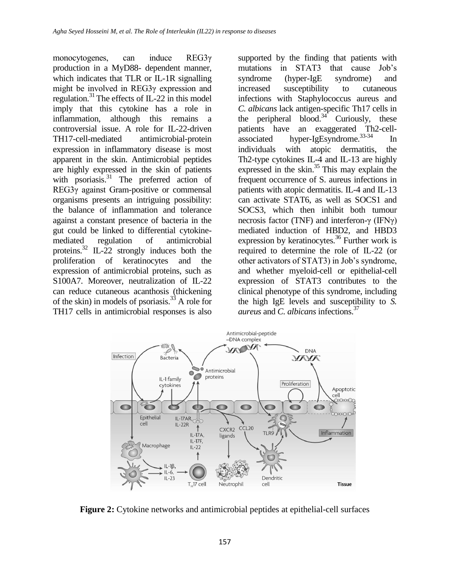monocytogenes, can induce REG3γ production in a MyD88- dependent manner, which indicates that TLR or IL-1R signalling might be involved in REG3γ expression and regulation.<sup>31</sup> The effects of IL-22 in this model imply that this cytokine has a role in inflammation, although this remains a controversial issue. A role for IL-22-driven TH17-cell-mediated antimicrobial-protein expression in inflammatory disease is most apparent in the skin. Antimicrobial peptides are highly expressed in the skin of patients with psoriasis.<sup>31</sup> The preferred action of REG3γ against Gram-positive or commensal organisms presents an intriguing possibility: the balance of inflammation and tolerance against a constant presence of bacteria in the gut could be linked to differential cytokinemediated regulation of antimicrobial proteins.<sup>32</sup> IL-22 strongly induces both the proliferation of keratinocytes and the expression of antimicrobial proteins, such as S100A7. Moreover, neutralization of IL-22 can reduce cutaneous acanthosis (thickening of the skin) in models of psoriasis. $^{33}$  A role for TH17 cells in antimicrobial responses is also

supported by the finding that patients with mutations in STAT3 that cause Job's syndrome (hyper-IgE syndrome) and increased susceptibility to cutaneous infections with Staphylococcus aureus and *C. albicans* lack antigen-specific Th17 cells in the peripheral blood.<sup>34</sup> Curiously, these patients have an exaggerated Th2-cellassociated hyper-IgEsyndrome.33-34 In individuals with atopic dermatitis, the Th2-type cytokines IL-4 and IL-13 are highly expressed in the skin. $35$  This may explain the frequent occurrence of S. aureus infections in patients with atopic dermatitis. IL-4 and IL-13 can activate STAT6, as well as SOCS1 and SOCS3, which then inhibit both tumour necrosis factor (TNF) and interferon-γ (IFNγ) mediated induction of HBD2, and HBD3 expression by keratinocytes.<sup>36</sup> Further work is required to determine the role of IL-22 (or other activators of STAT3) in Job's syndrome, and whether myeloid-cell or epithelial-cell expression of STAT3 contributes to the clinical phenotype of this syndrome, including the high IgE levels and susceptibility to *S. aureus* and *C. albicans* infections.<sup>37</sup>



**Figure 2:** Cytokine networks and antimicrobial peptides at epithelial-cell surfaces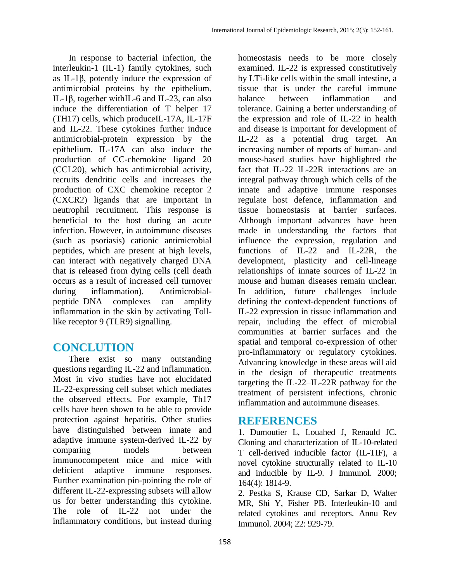In response to bacterial infection, the interleukin-1 (IL-1) family cytokines, such as IL-1β, potently induce the expression of antimicrobial proteins by the epithelium. IL-1β, together withIL-6 and IL-23, can also induce the differentiation of T helper 17 (TH17) cells, which produceIL-17A, IL-17F and IL-22. These cytokines further induce antimicrobial-protein expression by the epithelium. IL-17A can also induce the production of CC-chemokine ligand 20 (CCL20), which has antimicrobial activity, recruits dendritic cells and increases the production of CXC chemokine receptor 2 (CXCR2) ligands that are important in neutrophil recruitment. This response is beneficial to the host during an acute infection. However, in autoimmune diseases (such as psoriasis) cationic antimicrobial peptides, which are present at high levels, can interact with negatively charged DNA that is released from dying cells (cell death occurs as a result of increased cell turnover during inflammation). Antimicrobialpeptide–DNA complexes can amplify inflammation in the skin by activating Tolllike receptor 9 (TLR9) signalling.

# **CONCLUTION**

There exist so many outstanding questions regarding IL-22 and inflammation. Most in vivo studies have not elucidated IL-22-expressing cell subset which mediates the observed effects. For example, Th17 cells have been shown to be able to provide protection against hepatitis. Other studies have distinguished between innate and adaptive immune system-derived IL-22 by comparing models between immunocompetent mice and mice with deficient adaptive immune responses. Further examination pin-pointing the role of different IL-22-expressing subsets will allow us for better understanding this cytokine. The role of IL-22 not under the inflammatory conditions, but instead during

homeostasis needs to be more closely examined. IL-22 is expressed constitutively by LTi-like cells within the small intestine, a tissue that is under the careful immune balance between inflammation and tolerance. Gaining a better understanding of the expression and role of IL-22 in health and disease is important for development of IL-22 as a potential drug target. An increasing number of reports of human- and mouse-based studies have highlighted the fact that IL-22–IL-22R interactions are an integral pathway through which cells of the innate and adaptive immune responses regulate host defence, inflammation and tissue homeostasis at barrier surfaces. Although important advances have been made in understanding the factors that influence the expression, regulation and functions of IL-22 and IL-22R, the development, plasticity and cell-lineage relationships of innate sources of IL-22 in mouse and human diseases remain unclear. In addition, future challenges include defining the context-dependent functions of IL-22 expression in tissue inflammation and repair, including the effect of microbial communities at barrier surfaces and the spatial and temporal co-expression of other pro-inflammatory or regulatory cytokines. Advancing knowledge in these areas will aid in the design of therapeutic treatments targeting the IL-22–IL-22R pathway for the treatment of persistent infections, chronic inflammation and autoimmune diseases.

## **REFERENCES**

1. Dumoutier L, Louahed J, Renauld JC. Cloning and characterization of IL-10-related T cell-derived inducible factor (IL-TIF), a novel cytokine structurally related to IL-10 and inducible by IL-9. J Immunol. 2000; 164(4): 1814-9.

2. Pestka S, Krause CD, Sarkar D, Walter MR, Shi Y, Fisher PB. Interleukin-10 and related cytokines and receptors. Annu Rev Immunol. 2004; 22: 929-79.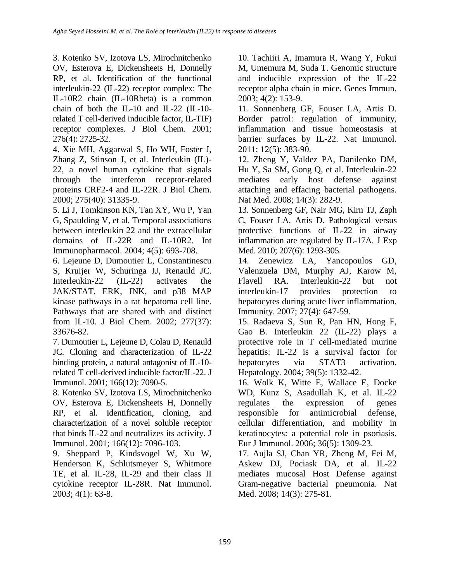3. Kotenko SV, Izotova LS, Mirochnitchenko OV, Esterova E, Dickensheets H, Donnelly RP, et al. Identification of the functional interleukin-22 (IL-22) receptor complex: The IL-10R2 chain (IL-10Rbeta) is a common chain of both the IL-10 and IL-22 (IL-10 related T cell-derived inducible factor, IL-TIF) receptor complexes. J Biol Chem. 2001; 276(4): 2725-32.

4. Xie MH, Aggarwal S, Ho WH, Foster J, Zhang Z, Stinson J, et al. Interleukin (IL)- 22, a novel human cytokine that signals through the interferon receptor-related proteins CRF2-4 and IL-22R. J Biol Chem. 2000; 275(40): 31335-9.

5. Li J, Tomkinson KN, Tan XY, Wu P, Yan G, Spaulding V, et al. Temporal associations between interleukin 22 and the extracellular domains of IL-22R and IL-10R2. Int Immunopharmacol. 2004; 4(5): 693-708.

6. Lejeune D, Dumoutier L, Constantinescu S, Kruijer W, Schuringa JJ, Renauld JC. Interleukin-22 (IL-22) activates the JAK/STAT, ERK, JNK, and p38 MAP kinase pathways in a rat hepatoma cell line. Pathways that are shared with and distinct from IL-10. J Biol Chem. 2002; 277(37): 33676-82.

7. Dumoutier L, Lejeune D, Colau D, Renauld JC. Cloning and characterization of IL-22 binding protein, a natural antagonist of IL-10 related T cell-derived inducible factor/IL-22. J Immunol. 2001; 166(12): 7090-5.

8. Kotenko SV, Izotova LS, Mirochnitchenko OV, Esterova E, Dickensheets H, Donnelly RP, et al. Identification, cloning, and characterization of a novel soluble receptor that binds IL-22 and neutralizes its activity. J Immunol. 2001; 166(12): 7096-103.

9. Sheppard P, Kindsvogel W, Xu W, Henderson K, Schlutsmeyer S, Whitmore TE, et al. IL-28, IL-29 and their class II cytokine receptor IL-28R. Nat Immunol. 2003; 4(1): 63-8.

10. Tachiiri A, Imamura R, Wang Y, Fukui M, Umemura M, Suda T. Genomic structure and inducible expression of the IL-22 receptor alpha chain in mice. Genes Immun. 2003; 4(2): 153-9.

11. Sonnenberg GF, Fouser LA, Artis D. Border patrol: regulation of immunity, inflammation and tissue homeostasis at barrier surfaces by IL-22. Nat Immunol. 2011; 12(5): 383-90.

12. Zheng Y, Valdez PA, Danilenko DM, Hu Y, Sa SM, Gong Q, et al. Interleukin-22 mediates early host defense against attaching and effacing bacterial pathogens. Nat Med. 2008; 14(3): 282-9.

13. Sonnenberg GF, Nair MG, Kirn TJ, Zaph C, Fouser LA, Artis D. Pathological versus protective functions of IL-22 in airway inflammation are regulated by IL-17A. J Exp Med. 2010; 207(6): 1293-305.

14. Zenewicz LA, Yancopoulos GD, Valenzuela DM, Murphy AJ, Karow M, Flavell RA. Interleukin-22 but not interleukin-17 provides protection to hepatocytes during acute liver inflammation. Immunity. 2007; 27(4): 647-59.

15. Radaeva S, Sun R, Pan HN, Hong F, Gao B. Interleukin 22 (IL-22) plays a protective role in T cell-mediated murine hepatitis: IL-22 is a survival factor for hepatocytes via STAT3 activation. Hepatology. 2004; 39(5): 1332-42.

16. Wolk K, Witte E, Wallace E, Docke WD, Kunz S, Asadullah K, et al. IL-22 regulates the expression of genes responsible for antimicrobial defense, cellular differentiation, and mobility in keratinocytes: a potential role in psoriasis. Eur J Immunol. 2006; 36(5): 1309-23.

17. Aujla SJ, Chan YR, Zheng M, Fei M, Askew DJ, Pociask DA, et al. IL-22 mediates mucosal Host Defense against Gram-negative bacterial pneumonia. Nat Med. 2008; 14(3): 275-81.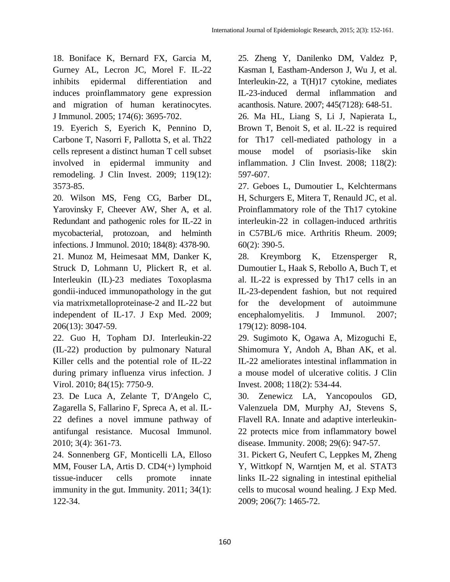18. Boniface K, Bernard FX, Garcia M, Gurney AL, Lecron JC, Morel F. IL-22 inhibits epidermal differentiation and induces proinflammatory gene expression and migration of human keratinocytes. J Immunol. 2005; 174(6): 3695-702.

19. Eyerich S, Eyerich K, Pennino D, Carbone T, Nasorri F, Pallotta S, et al. Th22 cells represent a distinct human T cell subset involved in epidermal immunity and remodeling. J Clin Invest. 2009; 119(12): 3573-85.

20. Wilson MS, Feng CG, Barber DL, Yarovinsky F, Cheever AW, Sher A, et al. Redundant and pathogenic roles for IL-22 in mycobacterial, protozoan, and helminth infections. J Immunol. 2010; 184(8): 4378-90. 21. Munoz M, Heimesaat MM, Danker K, Struck D, Lohmann U, Plickert R, et al. Interleukin (IL)-23 mediates Toxoplasma gondii-induced immunopathology in the gut via matrixmetalloproteinase-2 and IL-22 but independent of IL-17. J Exp Med. 2009; 206(13): 3047-59.

22. Guo H, Topham DJ. Interleukin-22 (IL-22) production by pulmonary Natural Killer cells and the potential role of IL-22 during primary influenza virus infection. J Virol. 2010; 84(15): 7750-9.

23. De Luca A, Zelante T, D'Angelo C, Zagarella S, Fallarino F, Spreca A, et al. IL-22 defines a novel immune pathway of antifungal resistance. Mucosal Immunol. 2010; 3(4): 361-73.

24. Sonnenberg GF, Monticelli LA, Elloso MM, Fouser LA, Artis D. CD4(+) lymphoid tissue-inducer cells promote innate immunity in the gut. Immunity. 2011; 34(1): 122-34.

25. Zheng Y, Danilenko DM, Valdez P, Kasman I, Eastham-Anderson J, Wu J, et al. Interleukin-22, a T(H)17 cytokine, mediates IL-23-induced dermal inflammation and acanthosis. Nature. 2007; 445(7128): 648-51.

26. Ma HL, Liang S, Li J, Napierata L, Brown T, Benoit S, et al. IL-22 is required for Th17 cell-mediated pathology in a mouse model of psoriasis-like skin inflammation. J Clin Invest. 2008; 118(2): 597-607.

27. Geboes L, Dumoutier L, Kelchtermans H, Schurgers E, Mitera T, Renauld JC, et al. Proinflammatory role of the Th17 cytokine interleukin-22 in collagen-induced arthritis in C57BL/6 mice. Arthritis Rheum. 2009; 60(2): 390-5.

28. Kreymborg K, Etzensperger R, Dumoutier L, Haak S, Rebollo A, Buch T, et al. IL-22 is expressed by Th17 cells in an IL-23-dependent fashion, but not required for the development of autoimmune encephalomyelitis. J Immunol. 2007; 179(12): 8098-104.

29. Sugimoto K, Ogawa A, Mizoguchi E, Shimomura Y, Andoh A, Bhan AK, et al. IL-22 ameliorates intestinal inflammation in a mouse model of ulcerative colitis. J Clin Invest. 2008; 118(2): 534-44.

30. Zenewicz LA, Yancopoulos GD, Valenzuela DM, Murphy AJ, Stevens S, Flavell RA. Innate and adaptive interleukin-22 protects mice from inflammatory bowel disease. Immunity. 2008; 29(6): 947-57.

31. Pickert G, Neufert C, Leppkes M, Zheng Y, Wittkopf N, Warntjen M, et al. STAT3 links IL-22 signaling in intestinal epithelial cells to mucosal wound healing. J Exp Med. 2009; 206(7): 1465-72.